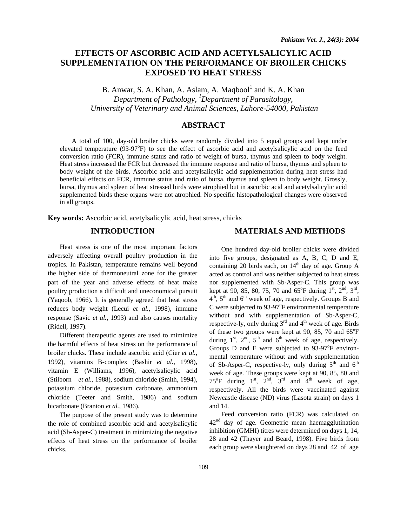# **EFFECTS OF ASCORBIC ACID AND ACETYLSALICYLIC ACID SUPPLEMENTATION ON THE PERFORMANCE OF BROILER CHICKS EXPOSED TO HEAT STRESS**

B. Anwar, S. A. Khan, A. Aslam, A. Maqbool $<sup>1</sup>$  and K. A. Khan</sup> *Department of Pathology, 1 Department of Parasitology, University of Veterinary and Animal Sciences, Lahore-54000, Pakistan* 

## **ABSTRACT**

 A total of 100, day-old broiler chicks were randomly divided into 5 equal groups and kept under elevated temperature (93-97°F) to see the effect of ascorbic acid and acetylsalicylic acid on the feed conversion ratio (FCR), immune status and ratio of weight of bursa, thymus and spleen to body weight. Heat stress increased the FCR but decreased the immune response and ratio of bursa, thymus and spleen to body weight of the birds. Ascorbic acid and acetylsalicylic acid supplementation during heat stress had beneficial effects on FCR, immune status and ratio of bursa, thymus and spleen to body weight. Grossly, bursa, thymus and spleen of heat stressed birds were atrophied but in ascorbic acid and acetylsalicylic acid supplemented birds these organs were not atrophied. No specific histopathological changes were observed in all groups.

**Key words:** Ascorbic acid, acetylsalicylic acid, heat stress, chicks

### **INTRODUCTION**

Heat stress is one of the most important factors adversely affecting overall poultry production in the tropics. In Pakistan, temperature remains well beyond the higher side of thermoneutral zone for the greater part of the year and adverse effects of heat make poultry production a difficult and uneconomical pursuit (Yaqoob, 1966). It is generally agreed that heat stress reduces body weight (Lecui *et al.,* 1998), immune response (Savic *et al.,* 1993) and also causes mortality (Ridell, 1997).

Different therapeutic agents are used to mimimize the harmful effects of heat stress on the performance of broiler chicks. These include ascorbic acid (Cier *et al.,*  1992), vitamins B-complex (Bashir *et al.,* 1998), vitamin E (Williams, 1996), acetylsalicylic acid (Stilborn *et al.,* 1988), sodium chloride (Smith, 1994), potassium chloride, potassium carbonate, ammonium chloride (Teeter and Smith, 1986) and sodium bicarbonate (Branton *et al.,* 1986).

The purpose of the present study was to determine the role of combined ascorbic acid and acetylsalicylic acid (Sb-Asper-C) treatment in minimizing the negative effects of heat stress on the performance of broiler chicks.

#### **MATERIALS AND METHODS**

One hundred day-old broiler chicks were divided into five groups, designated as A, B, C, D and E, containing 20 birds each, on  $14<sup>th</sup>$  day of age. Group A acted as control and was neither subjected to heat stress nor supplemented with Sb-Asper-C. This group was kept at 90, 85, 80, 75, 70 and  $65^{\circ}$ F during  $1^{\text{st}}$ ,  $2^{\text{nd}}$ ,  $3^{\text{rd}}$ ,  $4<sup>th</sup>$ ,  $5<sup>th</sup>$  and  $6<sup>th</sup>$  week of age, respectively. Groups B and C were subjected to 93-97°F environmental temperature without and with supplementation of Sb-Asper-C, respective-ly, only during  $3<sup>rd</sup>$  and  $4<sup>th</sup>$  week of age. Birds of these two groups were kept at 90, 85, 70 and  $65^{\circ}$ F during  $1^{st}$ ,  $2^{nd}$ ,  $5^{th}$  and  $6^{th}$  week of age, respectively. Groups  $D$  and  $E$  were subjected to 93-97 $\mathrm{P}$  environmental temperature without and with supplementation of Sb-Asper-C, respective-ly, only during  $5<sup>th</sup>$  and  $6<sup>th</sup>$ week of age. These groups were kept at 90, 85, 80 and 75°F during  $1<sup>st</sup>$ ,  $2<sup>nd</sup>$ ,  $3<sup>rd</sup>$  and  $4<sup>th</sup>$  week of age, respectively. All the birds were vaccinated against Newcastle disease (ND) virus (Lasota strain) on days 1 and 14.

Feed conversion ratio (FCR) was calculated on  $42<sup>nd</sup>$  day of age. Geometric mean haemagglutination inhibition (GMHI) titres were determined on days 1, 14, 28 and 42 (Thayer and Beard, 1998). Five birds from each group were slaughtered on days 28 and 42 of age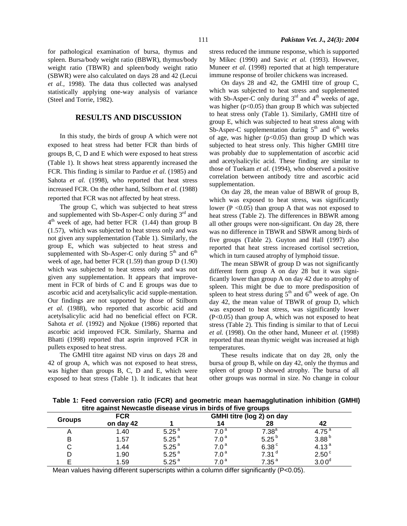for pathological examination of bursa, thymus and spleen. Bursa/body weight ratio (BBWR), thymus/body weight ratio (TBWR) and spleen/body weight ratio (SBWR) were also calculated on days 28 and 42 (Lecui *et al.,* 1998). The data thus collected was analysed statistically applying one-way analysis of variance (Steel and Torrie, 1982).

#### **RESULTS AND DISCUSSION**

In this study, the birds of group A which were not exposed to heat stress had better FCR than birds of groups B, C, D and E which were exposed to heat stress (Table 1). It shows heat stress apparently increased the FCR. This finding is similar to Pardue *et al.* (1985) and Sahota *et al.* (1998), who reported that heat stress increased FCR. On the other hand, Stilborn *et al.* (1988) reported that FCR was not affected by heat stress.

The group C, which was subjected to heat stress and supplemented with Sb-Asper-C only during  $3<sup>rd</sup>$  and  $4<sup>th</sup>$  week of age, had better FCR (1.44) than group B (1.57), which was subjected to heat stress only and was not given any supplementation (Table 1). Similarly, the group E, which was subjected to heat stress and supplemented with Sb-Asper-C only during  $5<sup>th</sup>$  and  $6<sup>th</sup>$ week of age, had better FCR (1.59) than group D (1.90) which was subjected to heat stress only and was not given any supplementation. It appears that improvement in FCR of birds of C and E groups was due to ascorbic acid and acetylsalicylic acid supple-mentation. Our findings are not supported by those of Stilborn *et al.* (1988), who reported that ascorbic acid and acetylsalicylic acid had no beneficial effect on FCR. Sahota *et al.* (1992) and Njokue (1986) reported that ascorbic acid improved FCR. Similarly, Sharma and Bhatti (1998) reported that asprin improved FCR in pullets exposed to heat stress.

The GMHI titre against ND virus on days 28 and 42 of group A, which was not exposed to heat stress, was higher than groups B, C, D and E, which were exposed to heat stress (Table 1). It indicates that heat stress reduced the immune response, which is supported by Mikec (1990) and Savic *et al.* (1993). However, Muneer *et al.* (1998) reported that at high temperature immune response of broiler chickens was increased.

On days 28 and 42, the GMHI titre of group C, which was subjected to heat stress and supplemented with Sb-Asper-C only during  $3<sup>rd</sup>$  and  $4<sup>th</sup>$  weeks of age, was higher ( $p<0.05$ ) than group B which was subjected to heat stress only (Table 1). Similarly, GMHI titre of group E, which was subjected to heat stress along with Sb-Asper-C supplementation during  $5<sup>th</sup>$  and  $6<sup>th</sup>$  weeks of age, was higher ( $p<0.05$ ) than group D which was subjected to heat stress only. This higher GMHI titre was probably due to supplementation of ascorbic acid and acetylsalicylic acid. These finding are similar to those of Tuekam *et al.* (1994), who observed a positive correlation between antibody titre and ascorbic acid supplementation.

On day 28, the mean value of BBWR of group B, which was exposed to heat stress, was significantly lower ( $P \le 0.05$ ) than group A that was not exposed to heat stress (Table 2). The differences in BBWR among all other groups were non-significant. On day 28, there was no difference in TBWR and SBWR among birds of five groups (Table 2). Guyton and Hall (1997) also reported that heat stress increased cortisol secretion, which in turn caused atrophy of lymphoid tissue.

The mean SBWR of group D was not significantly different form group A on day 28 but it was significantly lower than group A on day 42 due to atrophy of spleen. This might be due to more predisposition of spleen to heat stress during  $5<sup>th</sup>$  and  $6<sup>th</sup>$  week of age. On day 42, the mean value of TBWR of group D, which was exposed to heat stress, was significantly lower  $(P<0.05)$  than group A, which was not exposed to heat stress (Table 2). This finding is similar to that of Lecui *et al.* (1998). On the other hand, Muneer *et al.* (1998) reported that mean thymic weight was increased at high temperatures.

These results indicate that on day 28, only the bursa of group B, while on day 42, only the thymus and spleen of group D showed atrophy. The bursa of all other groups was normal in size. No change in colour

**Table 1: Feed conversion ratio (FCR) and geometric mean haemagglutination inhibition (GMHI) titre against Newcastle disease virus in birds of five groups** 

| aav agamot non oasao arsoaso yn as in biras or nyo groups |            |                           |                  |                   |                   |  |  |  |  |
|-----------------------------------------------------------|------------|---------------------------|------------------|-------------------|-------------------|--|--|--|--|
| <b>Groups</b>                                             | <b>FCR</b> | GMHI titre (log 2) on day |                  |                   |                   |  |  |  |  |
|                                                           | on day 42  |                           | 14               | 28                | 42                |  |  |  |  |
|                                                           | 1.40       | 5.25 <sup>a</sup>         | 7.0              | $7.38^{\rm a}$    | 4.75              |  |  |  |  |
|                                                           | 1.57       | $5.25^{a}$                | $7.0^{\,\rm a}$  | 5.25 $^{b}$       | 3.88 <sup>b</sup> |  |  |  |  |
|                                                           | 1.44       | $5.25^{a}$                | $7.0^{\,\rm a}$  | 6.38 <sup>c</sup> | 4.13 <sup>a</sup> |  |  |  |  |
|                                                           | 1.90       | $5.25^{a}$                | $7.0\degree$     | 7.31 <sup>d</sup> | 2.50 <sup>c</sup> |  |  |  |  |
|                                                           | 1.59       | 5.25 <sup>a</sup>         | 7 በ <sup>a</sup> | $7.35^{a}$        | $3.00^\circ$      |  |  |  |  |

Mean values having different superscripts within a column differ significantly (P<0.05).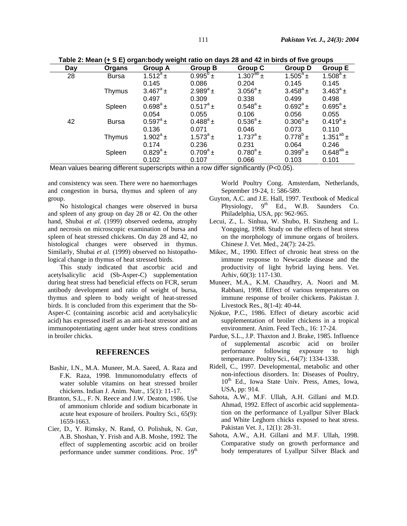| -- 0<br>- - - -<br>- - - |              |                   |                   |                             |                   |                   |  |  |
|--------------------------|--------------|-------------------|-------------------|-----------------------------|-------------------|-------------------|--|--|
| Day                      | Organs       | <b>Group A</b>    | <b>Group B</b>    | Group C                     | <b>Group D</b>    | <b>Group E</b>    |  |  |
| 28                       | <b>Bursa</b> | $1.512^a \pm$     | $0.995^{\circ}$ ± | $1.30\overline{7^{ab} \pm}$ | $1.505^a \pm$     | $1.508^{\circ}$ ± |  |  |
|                          |              | 0.145             | 0.086             | 0.204                       | 0.145             | 0.145             |  |  |
|                          | Thymus       | $3.467^{\circ}$ ± | $2.989^{a}$ ±     | $3.056^a \pm$               | $3.458^{\circ}$ ± | $3.463^{\circ}$ ± |  |  |
|                          |              | 0.497             | 0.309             | 0.338                       | 0.499             | 0.498             |  |  |
|                          | Spleen       | $0.698^{\circ}$ ± | $0.517^a \pm$     | $0.548^{\circ}$ ±           | $0.692^a \pm$     | $0.695^{\circ}$ ± |  |  |
|                          |              | 0.054             | 0.055             | 0.106                       | 0.056             | 0.055             |  |  |
| 42                       | <b>Bursa</b> | $0.597^a \pm$     | $0.488^{\circ}$ ± | $0.536^{\circ}$ ±           | $0.306^a \pm$     | $0.419^a \pm$     |  |  |
|                          |              | 0.136             | 0.071             | 0.046                       | 0.073             | 0.110             |  |  |
|                          | Thymus       | $1.902^a \pm$     | $1.573^{a}$ ±     | 1.737 $^a$ ±                | $0.778^{\circ}$ ± | 1.351 $^{ab}$ ±   |  |  |
|                          |              | 0.174             | 0.236             | 0.231                       | 0.064             | 0.246             |  |  |
|                          | Spleen       | $0.829^a \pm$     | $0.709^a \pm$     | $0.780^{\circ}$ ±           | $0.399^{b}$ ±     | $0.648^{ab}$ ±    |  |  |
|                          |              | 0.102             | 0.107             | 0.066                       | 0.103             | 0.101             |  |  |

 **Table 2: Mean (+ S E) organ:body weight ratio on days 28 and 42 in birds of five groups** 

Mean values bearing different superscripts within a row differ significantly (P<0.05).

and consistency was seen. There were no haemorrhages and congestion in bursa, thymus and spleen of any group.

No histological changes were observed in bursa and spleen of any group on day 28 or 42. On the other hand, Shubai *et al.* (1999) observed oedema, atrophy and necrosis on microscopic examination of bursa and spleen of heat stressed chickens. On day 28 and 42, no histological changes were observed in thymus. Similarly, Shubai et al. (1999) observed no histopathological change in thymus of heat stressed birds.

This study indicated that ascorbic acid and acetylsalicylic acid (Sb-Asper-C) supplementation during heat stress had beneficial effects on FCR, serum antibody development and ratio of weight of bursa, thymus and spleen to body weight of heat-stressed birds. It is concluded from this experiment that the Sb-Asper-C (containing ascorbic acid and acetylsalicylic acid) has expressed itself as an anti-heat stressor and an immunopotentiating agent under heat stress conditions in broiler chicks.

#### **REFERENCES**

- Bashir, I.N., M.A. Muneer, M.A. Saeed, A. Raza and F.K. Raza, 1998. Immunomodulatry effects of water soluble vitamins on heat stressed broiler chickens. Indian J. Anim. Nutr., 15(1): 11-17.
- Branton, S.L., F. N. Reece and J.W. Deaton, 1986. Use of ammonium chloride and sodium bicarbonate in acute heat exposure of broilers. Poultry Sci., 65(9): 1659-1663.
- Cier, D., Y. Rimsky, N. Rand, O. Polishuk, N. Gur, A.B. Shoshan, Y. Frish and A.B. Moshe, 1992. The effect of supplementing ascorbic acid on broiler performance under summer conditions. Proc. 19<sup>th</sup>

World Poultry Cong. Amsterdam, Netherlands, September 19-24, 1: 586-589.

- Guyton, A.C. and J.E. Hall, 1997. Textbook of Medical Physiology,  $9<sup>th</sup>$  Ed., W.B. Saunders Co. Philadelphia, USA, pp: 962-965.
- Lecui, Z., L. Sinhua, W. Shubo, H. Sinzheng and L. Yongqing, 1998. Study on the effects of heat stress on the morphology of immune organs of broilers. Chinese J. Vet. Med., 24(7): 24-25.
- Mikec, M., 1990. Effect of chronic heat stress on the immune response to Newcastle disease and the productivity of light hybrid laying hens. Vet. Arhiv, 60(3): 117-130.
- Muneer, M.A., K.M. Chaudhry, A. Noori and M. Rabbani, 1998. Effect of various temperatures on immune response of broiler chickens. Pakistan J. Livestock Res., 8(1-4): 40-44.
- Njokue, P.C., 1986. Effect of dietary ascorbic acid supplementation of broiler chickens in a tropical environment. Anim. Feed Tech., 16: 17-24.
- Pardue, S.L., J.P. Thaxton and J. Brake, 1985. Influence of supplemental ascorbic acid on broiler performance following exposure to high temperature. Poultry Sci., 64(7): 1334-1338.
- Ridell, C., 1997. Developmental, metabolic and other non-infectious disorders. In: Diseases of Poultry, 10<sup>th</sup> Ed., Iowa State Univ. Press, Ames, Iowa, USA, pp: 914.
- Sahota, A.W., M.F. Ullah, A.H. Gillani and M.D. Ahmad, 1992. Effect of ascorbic acid supplementation on the performance of Lyallpur Silver Black and White Leghorn chicks exposed to heat stress. Pakistan Vet. J., 12(1): 28-31.
- Sahota, A.W., A.H. Gillani and M.F. Ullah, 1998. Comparative study on growth performance and body temperatures of Lyallpur Silver Black and